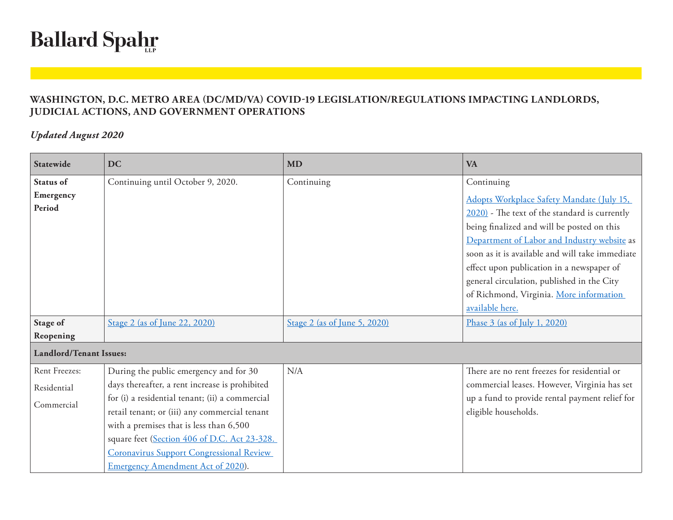## **Ballard Spahr**

## **WASHINGTON, D.C. METRO AREA (DC/MD/VA) COVID-19 LEGISLATION/REGULATIONS IMPACTING LANDLORDS, JUDICIAL ACTIONS, AND GOVERNMENT OPERATIONS**

## *Updated August 2020*

| Statewide                      | <b>DC</b>                                                                               | <b>MD</b>                    | <b>VA</b>                                                                                                                                                                                                                                                                                                                                                                                           |
|--------------------------------|-----------------------------------------------------------------------------------------|------------------------------|-----------------------------------------------------------------------------------------------------------------------------------------------------------------------------------------------------------------------------------------------------------------------------------------------------------------------------------------------------------------------------------------------------|
| Status of                      | Continuing until October 9, 2020.                                                       | Continuing                   | Continuing                                                                                                                                                                                                                                                                                                                                                                                          |
| Emergency<br>Period            |                                                                                         |                              | Adopts Workplace Safety Mandate (July 15,<br>2020) - The text of the standard is currently<br>being finalized and will be posted on this<br>Department of Labor and Industry website as<br>soon as it is available and will take immediate<br>effect upon publication in a newspaper of<br>general circulation, published in the City<br>of Richmond, Virginia. More information<br>available here. |
| Stage of<br>Reopening          | Stage 2 (as of June 22, 2020)                                                           | Stage 2 (as of June 5, 2020) | Phase 3 (as of July 1, 2020)                                                                                                                                                                                                                                                                                                                                                                        |
| <b>Landlord/Tenant Issues:</b> |                                                                                         |                              |                                                                                                                                                                                                                                                                                                                                                                                                     |
| Rent Freezes:                  | During the public emergency and for 30                                                  | N/A                          | There are no rent freezes for residential or                                                                                                                                                                                                                                                                                                                                                        |
| Residential                    | days thereafter, a rent increase is prohibited                                          |                              | commercial leases. However, Virginia has set                                                                                                                                                                                                                                                                                                                                                        |
| Commercial                     | for (i) a residential tenant; (ii) a commercial                                         |                              | up a fund to provide rental payment relief for                                                                                                                                                                                                                                                                                                                                                      |
|                                | retail tenant; or (iii) any commercial tenant                                           |                              | eligible households.                                                                                                                                                                                                                                                                                                                                                                                |
|                                | with a premises that is less than 6,500<br>square feet (Section 406 of D.C. Act 23-328. |                              |                                                                                                                                                                                                                                                                                                                                                                                                     |
|                                | <b>Coronavirus Support Congressional Review</b>                                         |                              |                                                                                                                                                                                                                                                                                                                                                                                                     |
|                                | Emergency Amendment Act of 2020).                                                       |                              |                                                                                                                                                                                                                                                                                                                                                                                                     |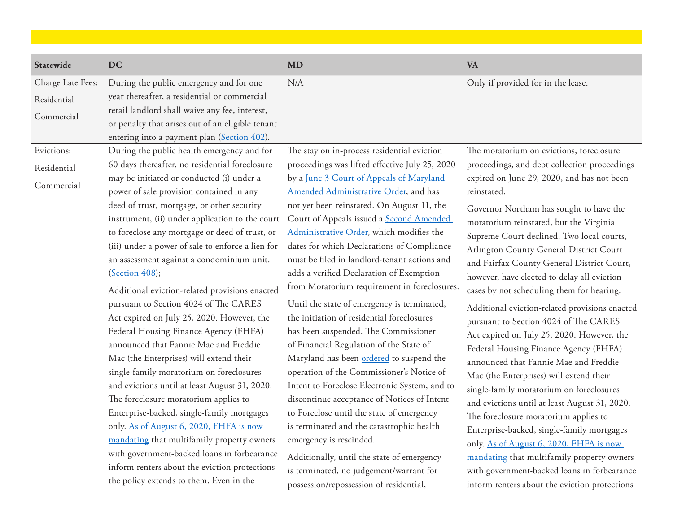| Statewide         | <b>DC</b>                                         | <b>MD</b>                                       | <b>VA</b>                                      |
|-------------------|---------------------------------------------------|-------------------------------------------------|------------------------------------------------|
| Charge Late Fees: | During the public emergency and for one           | N/A                                             | Only if provided for in the lease.             |
| Residential       | year thereafter, a residential or commercial      |                                                 |                                                |
| Commercial        | retail landlord shall waive any fee, interest,    |                                                 |                                                |
|                   | or penalty that arises out of an eligible tenant  |                                                 |                                                |
|                   | entering into a payment plan (Section 402).       |                                                 |                                                |
| Evictions:        | During the public health emergency and for        | The stay on in-process residential eviction     | The moratorium on evictions, foreclosure       |
| Residential       | 60 days thereafter, no residential foreclosure    | proceedings was lifted effective July 25, 2020  | proceedings, and debt collection proceedings   |
| Commercial        | may be initiated or conducted (i) under a         | by a June 3 Court of Appeals of Maryland        | expired on June 29, 2020, and has not been     |
|                   | power of sale provision contained in any          | Amended Administrative Order, and has           | reinstated.                                    |
|                   | deed of trust, mortgage, or other security        | not yet been reinstated. On August 11, the      | Governor Northam has sought to have the        |
|                   | instrument, (ii) under application to the court   | Court of Appeals issued a <b>Second Amended</b> | moratorium reinstated, but the Virginia        |
|                   | to foreclose any mortgage or deed of trust, or    | Administrative Order, which modifies the        | Supreme Court declined. Two local courts,      |
|                   | (iii) under a power of sale to enforce a lien for | dates for which Declarations of Compliance      | Arlington County General District Court        |
|                   | an assessment against a condominium unit.         | must be filed in landlord-tenant actions and    | and Fairfax County General District Court,     |
|                   | (Section 408);                                    | adds a verified Declaration of Exemption        | however, have elected to delay all eviction    |
|                   | Additional eviction-related provisions enacted    | from Moratorium requirement in foreclosures.    | cases by not scheduling them for hearing.      |
|                   | pursuant to Section 4024 of The CARES             | Until the state of emergency is terminated,     | Additional eviction-related provisions enacted |
|                   | Act expired on July 25, 2020. However, the        | the initiation of residential foreclosures      | pursuant to Section 4024 of The CARES          |
|                   | Federal Housing Finance Agency (FHFA)             | has been suspended. The Commissioner            | Act expired on July 25, 2020. However, the     |
|                   | announced that Fannie Mae and Freddie             | of Financial Regulation of the State of         | Federal Housing Finance Agency (FHFA)          |
|                   | Mac (the Enterprises) will extend their           | Maryland has been ordered to suspend the        | announced that Fannie Mae and Freddie          |
|                   | single-family moratorium on foreclosures          | operation of the Commissioner's Notice of       | Mac (the Enterprises) will extend their        |
|                   | and evictions until at least August 31, 2020.     | Intent to Foreclose Electronic System, and to   | single-family moratorium on foreclosures       |
|                   | The foreclosure moratorium applies to             | discontinue acceptance of Notices of Intent     | and evictions until at least August 31, 2020.  |
|                   | Enterprise-backed, single-family mortgages        | to Foreclose until the state of emergency       | The foreclosure moratorium applies to          |
|                   | only. As of August 6, 2020, FHFA is now           | is terminated and the catastrophic health       | Enterprise-backed, single-family mortgages     |
|                   | mandating that multifamily property owners        | emergency is rescinded.                         | only. As of August 6, 2020, FHFA is now        |
|                   | with government-backed loans in forbearance       | Additionally, until the state of emergency      | mandating that multifamily property owners     |
|                   | inform renters about the eviction protections     | is terminated, no judgement/warrant for         | with government-backed loans in forbearance    |
|                   | the policy extends to them. Even in the           | possession/repossession of residential,         | inform renters about the eviction protections  |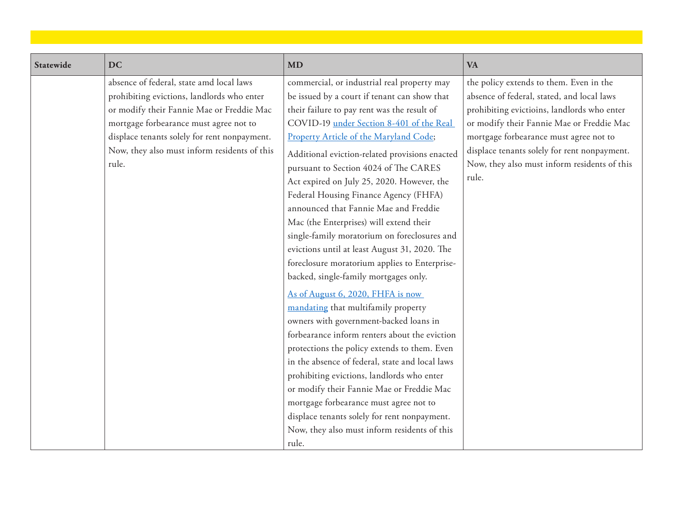| Statewide | <b>DC</b>                                    | MD                                              | <b>VA</b>                                    |
|-----------|----------------------------------------------|-------------------------------------------------|----------------------------------------------|
|           | absence of federal, state amd local laws     | commercial, or industrial real property may     | the policy extends to them. Even in the      |
|           | prohibiting evictions, landlords who enter   | be issued by a court if tenant can show that    | absence of federal, stated, and local laws   |
|           | or modify their Fannie Mae or Freddie Mac    | their failure to pay rent was the result of     | prohibiting evictioins, landlords who enter  |
|           | mortgage forbearance must agree not to       | COVID-19 under Section 8-401 of the Real        | or modify their Fannie Mae or Freddie Mac    |
|           | displace tenants solely for rent nonpayment. | Property Article of the Maryland Code;          | mortgage forbearance must agree not to       |
|           | Now, they also must inform residents of this | Additional eviction-related provisions enacted  | displace tenants solely for rent nonpayment. |
|           | rule.                                        | pursuant to Section 4024 of The CARES           | Now, they also must inform residents of this |
|           |                                              | Act expired on July 25, 2020. However, the      | rule.                                        |
|           |                                              | Federal Housing Finance Agency (FHFA)           |                                              |
|           |                                              | announced that Fannie Mae and Freddie           |                                              |
|           |                                              | Mac (the Enterprises) will extend their         |                                              |
|           |                                              | single-family moratorium on foreclosures and    |                                              |
|           |                                              | evictions until at least August 31, 2020. The   |                                              |
|           |                                              | foreclosure moratorium applies to Enterprise-   |                                              |
|           |                                              | backed, single-family mortgages only.           |                                              |
|           |                                              | As of August 6, 2020, FHFA is now               |                                              |
|           |                                              | mandating that multifamily property             |                                              |
|           |                                              | owners with government-backed loans in          |                                              |
|           |                                              | forbearance inform renters about the eviction   |                                              |
|           |                                              | protections the policy extends to them. Even    |                                              |
|           |                                              | in the absence of federal, state and local laws |                                              |
|           |                                              | prohibiting evictions, landlords who enter      |                                              |
|           |                                              | or modify their Fannie Mae or Freddie Mac       |                                              |
|           |                                              | mortgage forbearance must agree not to          |                                              |
|           |                                              | displace tenants solely for rent nonpayment.    |                                              |
|           |                                              | Now, they also must inform residents of this    |                                              |
|           |                                              | rule.                                           |                                              |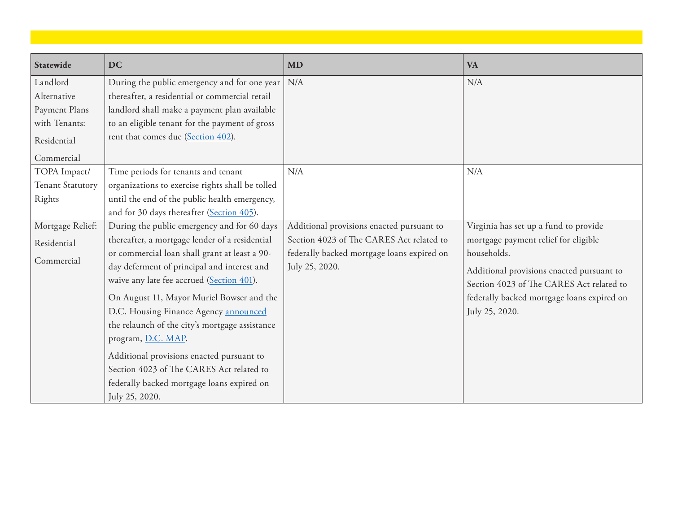| Statewide        | <b>DC</b>                                        | <b>MD</b>                                  | <b>VA</b>                                  |
|------------------|--------------------------------------------------|--------------------------------------------|--------------------------------------------|
| Landlord         | During the public emergency and for one year     | N/A                                        | N/A                                        |
| Alternative      | thereafter, a residential or commercial retail   |                                            |                                            |
| Payment Plans    | landlord shall make a payment plan available     |                                            |                                            |
| with Tenants:    | to an eligible tenant for the payment of gross   |                                            |                                            |
| Residential      | rent that comes due (Section 402).               |                                            |                                            |
| Commercial       |                                                  |                                            |                                            |
| TOPA Impact/     | Time periods for tenants and tenant              | N/A                                        | N/A                                        |
| Tenant Statutory | organizations to exercise rights shall be tolled |                                            |                                            |
| Rights           | until the end of the public health emergency,    |                                            |                                            |
|                  | and for 30 days thereafter (Section 405).        |                                            |                                            |
| Mortgage Relief: | During the public emergency and for 60 days      | Additional provisions enacted pursuant to  | Virginia has set up a fund to provide      |
| Residential      | thereafter, a mortgage lender of a residential   | Section 4023 of The CARES Act related to   | mortgage payment relief for eligible       |
| Commercial       | or commercial loan shall grant at least a 90-    | federally backed mortgage loans expired on | households.                                |
|                  | day deferment of principal and interest and      | July 25, 2020.                             | Additional provisions enacted pursuant to  |
|                  | waive any late fee accrued (Section 401).        |                                            | Section 4023 of The CARES Act related to   |
|                  | On August 11, Mayor Muriel Bowser and the        |                                            | federally backed mortgage loans expired on |
|                  | D.C. Housing Finance Agency announced            |                                            | July 25, 2020.                             |
|                  | the relaunch of the city's mortgage assistance   |                                            |                                            |
|                  | program, D.C. MAP.                               |                                            |                                            |
|                  | Additional provisions enacted pursuant to        |                                            |                                            |
|                  | Section 4023 of The CARES Act related to         |                                            |                                            |
|                  | federally backed mortgage loans expired on       |                                            |                                            |
|                  | July 25, 2020.                                   |                                            |                                            |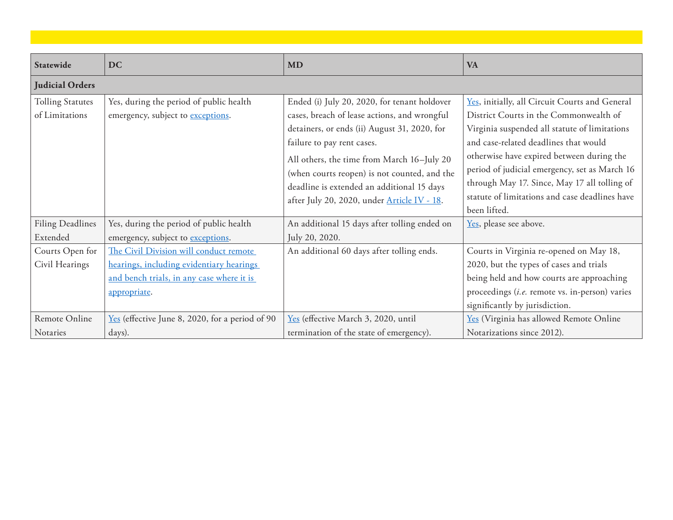| Statewide                                 | <b>DC</b>                                                                                                                                       | <b>MD</b>                                                                                                                                                                                                                                                                                                                                                             | <b>VA</b>                                                                                                                                                                                                                                                                                                                                                                                          |
|-------------------------------------------|-------------------------------------------------------------------------------------------------------------------------------------------------|-----------------------------------------------------------------------------------------------------------------------------------------------------------------------------------------------------------------------------------------------------------------------------------------------------------------------------------------------------------------------|----------------------------------------------------------------------------------------------------------------------------------------------------------------------------------------------------------------------------------------------------------------------------------------------------------------------------------------------------------------------------------------------------|
| <b>Judicial Orders</b>                    |                                                                                                                                                 |                                                                                                                                                                                                                                                                                                                                                                       |                                                                                                                                                                                                                                                                                                                                                                                                    |
| <b>Tolling Statutes</b><br>of Limitations | Yes, during the period of public health<br>emergency, subject to exceptions.                                                                    | Ended (i) July 20, 2020, for tenant holdover<br>cases, breach of lease actions, and wrongful<br>detainers, or ends (ii) August 31, 2020, for<br>failure to pay rent cases.<br>All others, the time from March 16-July 20<br>(when courts reopen) is not counted, and the<br>deadline is extended an additional 15 days<br>after July 20, 2020, under Article IV - 18. | Yes, initially, all Circuit Courts and General<br>District Courts in the Commonwealth of<br>Virginia suspended all statute of limitations<br>and case-related deadlines that would<br>otherwise have expired between during the<br>period of judicial emergency, set as March 16<br>through May 17. Since, May 17 all tolling of<br>statute of limitations and case deadlines have<br>been lifted. |
| <b>Filing Deadlines</b><br>Extended       | Yes, during the period of public health<br>emergency, subject to exceptions.                                                                    | An additional 15 days after tolling ended on<br>July 20, 2020.                                                                                                                                                                                                                                                                                                        | Yes, please see above.                                                                                                                                                                                                                                                                                                                                                                             |
| Courts Open for<br>Civil Hearings         | The Civil Division will conduct remote<br>hearings, including evidentiary hearings<br>and bench trials, in any case where it is<br>appropriate. | An additional 60 days after tolling ends.                                                                                                                                                                                                                                                                                                                             | Courts in Virginia re-opened on May 18,<br>2020, but the types of cases and trials<br>being held and how courts are approaching<br>proceedings (i.e. remote vs. in-person) varies<br>significantly by jurisdiction.                                                                                                                                                                                |
| Remote Online<br>Notaries                 | Yes (effective June 8, 2020, for a period of 90<br>days).                                                                                       | Yes (effective March 3, 2020, until<br>termination of the state of emergency).                                                                                                                                                                                                                                                                                        | Yes (Virginia has allowed Remote Online<br>Notarizations since 2012).                                                                                                                                                                                                                                                                                                                              |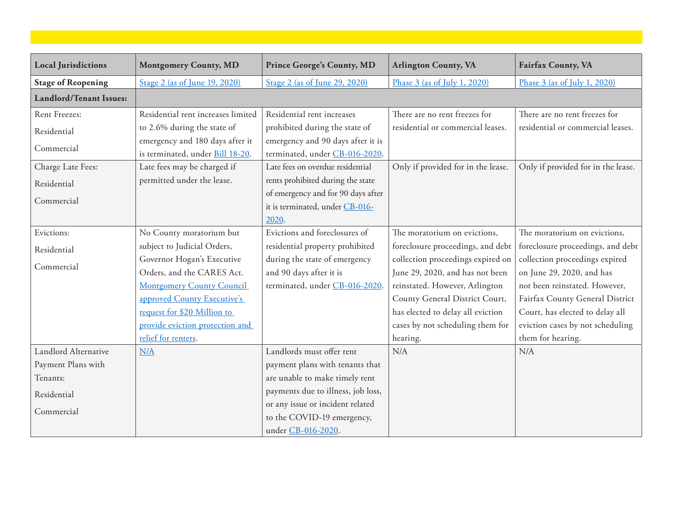| <b>Local Jurisdictions</b>     | <b>Montgomery County, MD</b>       | <b>Prince George's County, MD</b>  | <b>Arlington County, VA</b>        | <b>Fairfax County, VA</b>          |
|--------------------------------|------------------------------------|------------------------------------|------------------------------------|------------------------------------|
| <b>Stage of Reopening</b>      | Stage 2 (as of June 19, 2020)      | Stage 2 (as of June 29, 2020)      | Phase 3 (as of July 1, 2020)       | Phase 3 (as of July 1, 2020)       |
| <b>Landlord/Tenant Issues:</b> |                                    |                                    |                                    |                                    |
| Rent Freezes:                  | Residential rent increases limited | Residential rent increases         | There are no rent freezes for      | There are no rent freezes for      |
| Residential                    | to 2.6% during the state of        | prohibited during the state of     | residential or commercial leases.  | residential or commercial leases.  |
|                                | emergency and 180 days after it    | emergency and 90 days after it is  |                                    |                                    |
| Commercial                     | is terminated, under Bill 18-20.   | terminated, under CB-016-2020.     |                                    |                                    |
| Charge Late Fees:              | Late fees may be charged if        | Late fees on overdue residential   | Only if provided for in the lease. | Only if provided for in the lease. |
| Residential                    | permitted under the lease.         | rents prohibited during the state  |                                    |                                    |
|                                |                                    | of emergency and for 90 days after |                                    |                                    |
| Commercial                     |                                    | it is terminated, under CB-016-    |                                    |                                    |
|                                |                                    | 2020.                              |                                    |                                    |
| Evictions:                     | No County moratorium but           | Evictions and foreclosures of      | The moratorium on evictions,       | The moratorium on evictions,       |
| Residential                    | subject to Judicial Orders,        | residential property prohibited    | foreclosure proceedings, and debt  | foreclosure proceedings, and debt  |
|                                | Governor Hogan's Executive         | during the state of emergency      | collection proceedings expired on  | collection proceedings expired     |
| Commercial                     | Orders, and the CARES Act.         | and 90 days after it is            | June 29, 2020, and has not been    | on June 29, 2020, and has          |
|                                | <b>Montgomery County Council</b>   | terminated, under CB-016-2020.     | reinstated. However, Arlington     | not been reinstated. However,      |
|                                | approved County Executive's        |                                    | County General District Court,     | Fairfax County General District    |
|                                | request for \$20 Million to        |                                    | has elected to delay all eviction  | Court, has elected to delay all    |
|                                | provide eviction protection and    |                                    | cases by not scheduling them for   | eviction cases by not scheduling   |
|                                | relief for renters.                |                                    | hearing.                           | them for hearing.                  |
| Landlord Alternative           | N/A                                | Landlords must offer rent          | N/A                                | N/A                                |
| Payment Plans with             |                                    | payment plans with tenants that    |                                    |                                    |
| Tenants:                       |                                    | are unable to make timely rent     |                                    |                                    |
| Residential                    |                                    | payments due to illness, job loss, |                                    |                                    |
|                                |                                    | or any issue or incident related   |                                    |                                    |
| Commercial                     |                                    | to the COVID-19 emergency,         |                                    |                                    |
|                                |                                    | under CB-016-2020.                 |                                    |                                    |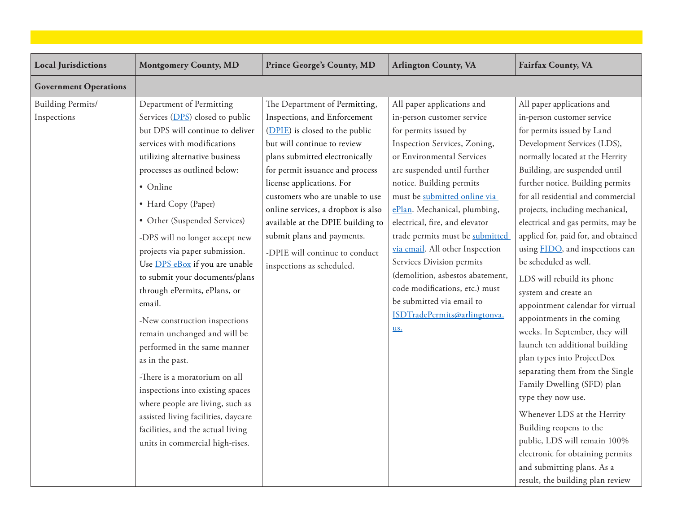| <b>Local Jurisdictions</b>       | <b>Montgomery County, MD</b>                                                                                                                                                                                                                                                                                                                                                                                                                                                                                                                                                                                                                                                                                                                                                                      | <b>Prince George's County, MD</b>                                                                                                                                                                                                                                                                                                                                                                                                           | <b>Arlington County, VA</b>                                                                                                                                                                                                                                                                                                                                                                                                                                                                                                                              | <b>Fairfax County, VA</b>                                                                                                                                                                                                                                                                                                                                                                                                                                                                                                                                                                                                                                                                                                                                                                                                                                                                                                                                        |
|----------------------------------|---------------------------------------------------------------------------------------------------------------------------------------------------------------------------------------------------------------------------------------------------------------------------------------------------------------------------------------------------------------------------------------------------------------------------------------------------------------------------------------------------------------------------------------------------------------------------------------------------------------------------------------------------------------------------------------------------------------------------------------------------------------------------------------------------|---------------------------------------------------------------------------------------------------------------------------------------------------------------------------------------------------------------------------------------------------------------------------------------------------------------------------------------------------------------------------------------------------------------------------------------------|----------------------------------------------------------------------------------------------------------------------------------------------------------------------------------------------------------------------------------------------------------------------------------------------------------------------------------------------------------------------------------------------------------------------------------------------------------------------------------------------------------------------------------------------------------|------------------------------------------------------------------------------------------------------------------------------------------------------------------------------------------------------------------------------------------------------------------------------------------------------------------------------------------------------------------------------------------------------------------------------------------------------------------------------------------------------------------------------------------------------------------------------------------------------------------------------------------------------------------------------------------------------------------------------------------------------------------------------------------------------------------------------------------------------------------------------------------------------------------------------------------------------------------|
| <b>Government Operations</b>     |                                                                                                                                                                                                                                                                                                                                                                                                                                                                                                                                                                                                                                                                                                                                                                                                   |                                                                                                                                                                                                                                                                                                                                                                                                                                             |                                                                                                                                                                                                                                                                                                                                                                                                                                                                                                                                                          |                                                                                                                                                                                                                                                                                                                                                                                                                                                                                                                                                                                                                                                                                                                                                                                                                                                                                                                                                                  |
| Building Permits/<br>Inspections | Department of Permitting<br>Services (DPS) closed to public<br>but DPS will continue to deliver<br>services with modifications<br>utilizing alternative business<br>processes as outlined below:<br>• Online<br>• Hard Copy (Paper)<br>• Other (Suspended Services)<br>-DPS will no longer accept new<br>projects via paper submission.<br>Use DPS eBox if you are unable<br>to submit your documents/plans<br>through ePermits, ePlans, or<br>email.<br>-New construction inspections<br>remain unchanged and will be<br>performed in the same manner<br>as in the past.<br>-There is a moratorium on all<br>inspections into existing spaces<br>where people are living, such as<br>assisted living facilities, daycare<br>facilities, and the actual living<br>units in commercial high-rises. | The Department of Permitting,<br>Inspections, and Enforcement<br>(DPIE) is closed to the public<br>but will continue to review<br>plans submitted electronically<br>for permit issuance and process<br>license applications. For<br>customers who are unable to use<br>online services, a dropbox is also<br>available at the DPIE building to<br>submit plans and payments.<br>-DPIE will continue to conduct<br>inspections as scheduled. | All paper applications and<br>in-person customer service<br>for permits issued by<br>Inspection Services, Zoning,<br>or Environmental Services<br>are suspended until further<br>notice. Building permits<br>must be submitted online via<br>ePlan. Mechanical, plumbing,<br>electrical, fire, and elevator<br>trade permits must be submitted<br>via email. All other Inspection<br>Services Division permits<br>(demolition, asbestos abatement,<br>code modifications, etc.) must<br>be submitted via email to<br>ISDTradePermits@arlingtonva.<br>us. | All paper applications and<br>in-person customer service<br>for permits issued by Land<br>Development Services (LDS),<br>normally located at the Herrity<br>Building, are suspended until<br>further notice. Building permits<br>for all residential and commercial<br>projects, including mechanical,<br>electrical and gas permits, may be<br>applied for, paid for, and obtained<br>using FIDO, and inspections can<br>be scheduled as well.<br>LDS will rebuild its phone<br>system and create an<br>appointment calendar for virtual<br>appointments in the coming<br>weeks. In September, they will<br>launch ten additional building<br>plan types into ProjectDox<br>separating them from the Single<br>Family Dwelling (SFD) plan<br>type they now use.<br>Whenever LDS at the Herrity<br>Building reopens to the<br>public, LDS will remain 100%<br>electronic for obtaining permits<br>and submitting plans. As a<br>result, the building plan review |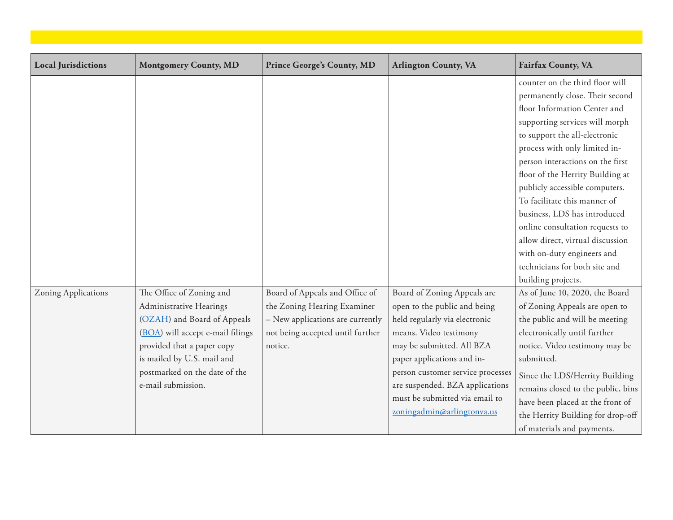| <b>Local Jurisdictions</b> | <b>Montgomery County, MD</b>     | <b>Prince George's County, MD</b> | <b>Arlington County, VA</b>       | <b>Fairfax County, VA</b>          |
|----------------------------|----------------------------------|-----------------------------------|-----------------------------------|------------------------------------|
|                            |                                  |                                   |                                   |                                    |
|                            |                                  |                                   |                                   | counter on the third floor will    |
|                            |                                  |                                   |                                   | permanently close. Their second    |
|                            |                                  |                                   |                                   | floor Information Center and       |
|                            |                                  |                                   |                                   | supporting services will morph     |
|                            |                                  |                                   |                                   | to support the all-electronic      |
|                            |                                  |                                   |                                   | process with only limited in-      |
|                            |                                  |                                   |                                   | person interactions on the first   |
|                            |                                  |                                   |                                   | floor of the Herrity Building at   |
|                            |                                  |                                   |                                   | publicly accessible computers.     |
|                            |                                  |                                   |                                   | To facilitate this manner of       |
|                            |                                  |                                   |                                   | business, LDS has introduced       |
|                            |                                  |                                   |                                   | online consultation requests to    |
|                            |                                  |                                   |                                   | allow direct, virtual discussion   |
|                            |                                  |                                   |                                   | with on-duty engineers and         |
|                            |                                  |                                   |                                   | technicians for both site and      |
|                            |                                  |                                   |                                   | building projects.                 |
| Zoning Applications        | The Office of Zoning and         | Board of Appeals and Office of    | Board of Zoning Appeals are       | As of June 10, 2020, the Board     |
|                            | Administrative Hearings          | the Zoning Hearing Examiner       | open to the public and being      | of Zoning Appeals are open to      |
|                            | (OZAH) and Board of Appeals      | - New applications are currently  | held regularly via electronic     | the public and will be meeting     |
|                            | (BOA) will accept e-mail filings | not being accepted until further  | means. Video testimony            | electronically until further       |
|                            | provided that a paper copy       | notice.                           | may be submitted. All BZA         | notice. Video testimony may be     |
|                            | is mailed by U.S. mail and       |                                   | paper applications and in-        | submitted.                         |
|                            | postmarked on the date of the    |                                   | person customer service processes | Since the LDS/Herrity Building     |
|                            | e-mail submission.               |                                   | are suspended. BZA applications   | remains closed to the public, bins |
|                            |                                  |                                   | must be submitted via email to    | have been placed at the front of   |
|                            |                                  |                                   | zoningadmin@arlingtonva.us        | the Herrity Building for drop-off  |
|                            |                                  |                                   |                                   | of materials and payments.         |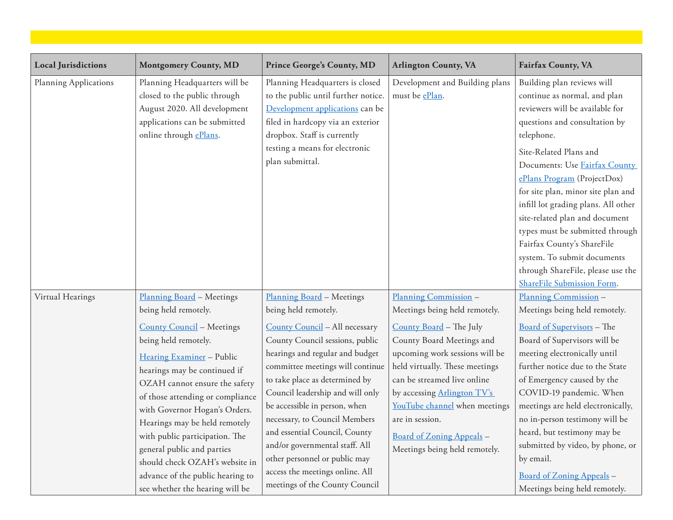| <b>Local Jurisdictions</b> | <b>Montgomery County, MD</b>                                                                                                                                                                                                                                                                                                                                                                                                                                                               | <b>Prince George's County, MD</b>                                                                                                                                                                                                                                                                                                                                                                                                                                                                              | <b>Arlington County, VA</b>                                                                                                                                                                                                                                                                                                                                        | <b>Fairfax County, VA</b>                                                                                                                                                                                                                                                                                                                                                                                                                                                                                                |
|----------------------------|--------------------------------------------------------------------------------------------------------------------------------------------------------------------------------------------------------------------------------------------------------------------------------------------------------------------------------------------------------------------------------------------------------------------------------------------------------------------------------------------|----------------------------------------------------------------------------------------------------------------------------------------------------------------------------------------------------------------------------------------------------------------------------------------------------------------------------------------------------------------------------------------------------------------------------------------------------------------------------------------------------------------|--------------------------------------------------------------------------------------------------------------------------------------------------------------------------------------------------------------------------------------------------------------------------------------------------------------------------------------------------------------------|--------------------------------------------------------------------------------------------------------------------------------------------------------------------------------------------------------------------------------------------------------------------------------------------------------------------------------------------------------------------------------------------------------------------------------------------------------------------------------------------------------------------------|
| Planning Applications      | Planning Headquarters will be<br>closed to the public through<br>August 2020. All development<br>applications can be submitted<br>online through ePlans.                                                                                                                                                                                                                                                                                                                                   | Planning Headquarters is closed<br>to the public until further notice.<br>Development applications can be<br>filed in hardcopy via an exterior<br>dropbox. Staff is currently<br>testing a means for electronic<br>plan submittal.                                                                                                                                                                                                                                                                             | Development and Building plans<br>must be ePlan.                                                                                                                                                                                                                                                                                                                   | Building plan reviews will<br>continue as normal, and plan<br>reviewers will be available for<br>questions and consultation by<br>telephone.<br>Site-Related Plans and<br>Documents: Use Fairfax County<br>ePlans Program (ProjectDox)<br>for site plan, minor site plan and<br>infill lot grading plans. All other<br>site-related plan and document<br>types must be submitted through<br>Fairfax County's ShareFile<br>system. To submit documents<br>through ShareFile, please use the<br>ShareFile Submission Form. |
| Virtual Hearings           | Planning Board - Meetings<br>being held remotely.<br><b>County Council</b> - Meetings<br>being held remotely.<br>Hearing Examiner - Public<br>hearings may be continued if<br>OZAH cannot ensure the safety<br>of those attending or compliance<br>with Governor Hogan's Orders.<br>Hearings may be held remotely<br>with public participation. The<br>general public and parties<br>should check OZAH's website in<br>advance of the public hearing to<br>see whether the hearing will be | Planning Board - Meetings<br>being held remotely.<br>County Council - All necessary<br>County Council sessions, public<br>hearings and regular and budget<br>committee meetings will continue<br>to take place as determined by<br>Council leadership and will only<br>be accessible in person, when<br>necessary, to Council Members<br>and essential Council, County<br>and/or governmental staff. All<br>other personnel or public may<br>access the meetings online. All<br>meetings of the County Council | Planning Commission -<br>Meetings being held remotely.<br>County Board - The July<br>County Board Meetings and<br>upcoming work sessions will be<br>held virtually. These meetings<br>can be streamed live online<br>by accessing Arlington TV's<br>YouTube channel when meetings<br>are in session.<br>Board of Zoning Appeals -<br>Meetings being held remotely. | Planning Commission -<br>Meetings being held remotely.<br>Board of Supervisors - The<br>Board of Supervisors will be<br>meeting electronically until<br>further notice due to the State<br>of Emergency caused by the<br>COVID-19 pandemic. When<br>meetings are held electronically,<br>no in-person testimony will be<br>heard, but testimony may be<br>submitted by video, by phone, or<br>by email.<br>Board of Zoning Appeals -<br>Meetings being held remotely.                                                    |